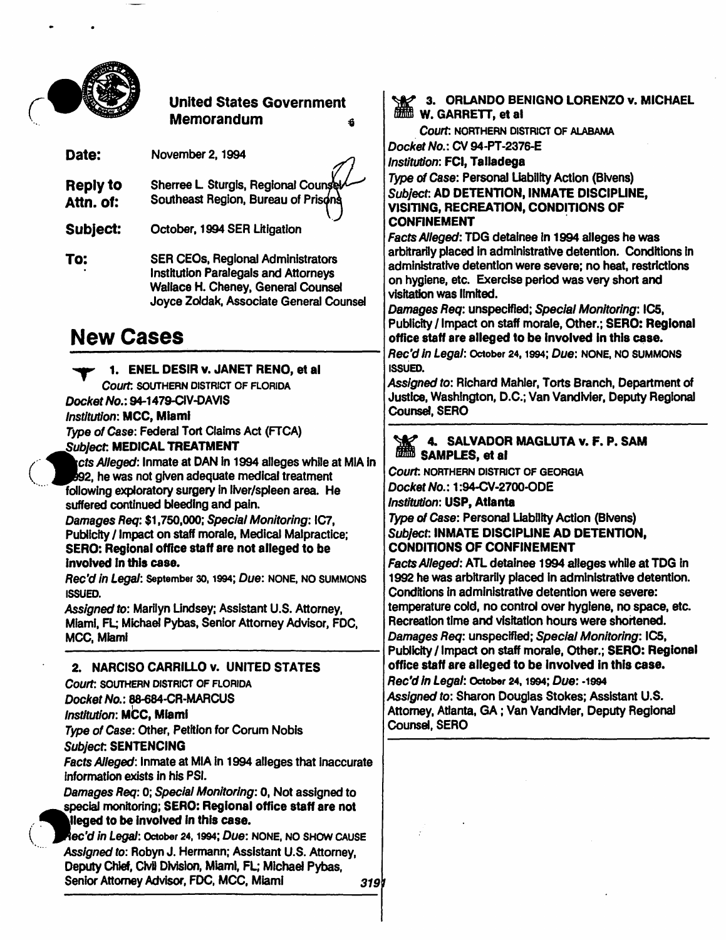

## United States Government Memorandum

£.

| Date:                        | November 2, 1994                                                            |
|------------------------------|-----------------------------------------------------------------------------|
| <b>Reply to</b><br>Attn. of: | Sherree L. Sturgis, Regional Counsel<br>Southeast Region, Bureau of Prisons |

SUbJect: October. 1994 SER Litigation

To: SER CEOs. Regional Administrators Institution Paralegals and Attorneys Wallace H. Cheney. General Counsel Joyce Zoidak, Associate General Counsel

## New Cases

1. ENEL DESIR v. JANET RENO, et al. Court. SOUTHERN DISTRICT OF FLORIDA Docket No.: 94-1479-CIV-DAVIS Institution: MCC, Miami Type of Case: Federal Tort Claims Act (FTCA) Subject: MEDICAL TREATMENT cts Alleged: Inmate at DAN in 1994 alleges while at MIA in

**.** he was not given adequate medical treatment following exploratory surgery in liver/spleen area. He suffered continued bleeding and pain.

Damages Req: \$1,750,000; Special Monitoring: 1C7, Publicity / Impact on staff morale, Medical Malpractice; SERO: Regional office staff are not alleged to be Involved In this case.

Rec'd in Legal: September 30. 1994; Due: NONE, NO SUMMONS ISSUED.

Assigned to: Marilyn Lindsey; Assistant U.S. Attorney. Miami, FL; Michael Pybas, Senior Attorney Advisor, FDC. MCC, Miami

## 2. NARCISO CARRILLO v. UNITED STATES

Court: SOUTHERN DISTRICT OF FlORIDA Docket No.: 88-684-CR-MARCUS

Institution: MCC, Miami

Type of Case: Other, Petition for Corum Nobis

## Subject: SENTENCING

Facts Alleged: Inmate at MIA in 1994 alleges that inaccurate Information exists In his PSI.

Damages Req: 0; Special Monitoring: 0, Not assigned to special monitoring; SERO: Regional office staff are not lleged to be involved in this case.

,

(

Rec'd in Legal: October 24, 1994; Due: NONE, NO SHOW CAUSE Assigned to: Robyn J. Hermann; Assistant U.S. Attorney, Deputy Chief, Civil Division, Miami, FL; Michael Pybas, Senior Attorney Advisor, FDC, MCC, Miami 319

## ~ 3. ORLANDO BENIGNO LORENZO v. MICHAEL  $\frac{M}{2}$  3. University, et al.

Court: NORTHERN DISTRICT OF ALABAMA Docket No.: CV 94-PT -2376-E

Institution: FCI, Tailadega

Type of Case: Personal liability Action (Bivens) Subject: AD DETENTION, INMATE DISCIPLINE. VISITING, RECREATION, CONDITIONS OF **CONFINEMENT** 

Facts Alleged: TDG detainee in 1994 alleges he was arbitrarily placed In administrative detention. Conditions In administrative detention were severe; no heat, restrictions on hygiene, etc. Exercise period was very short and visitation was limited.

Damages Req: unspecffied: Special Monitoring: ICS. Publicity /Impact on staff morale, Other.: SERO: Regional office staff are alleged to be involved in this case.

Rec'd in Legal: October 24, 1994; Due: NONE, NO SUMMONS ISSUED.

Assigned to: Richard Mahler, Torts Branch, Department of Justice, Washington, D.C.: Van Vandivier. Deputy Regional Counsel, SERO

## ~ 4. SALVADOR MAGLUTA v. F. P. SAM SAMPLES, et al.

Court: NORTHERN DISTRICT OF GEORGIA Docket No.: 1 :94-CV-2700-0DE

Institution: USP, Atlanta

**Type of Case: Personal Liability Action (Bivens)** Subject: INMATE DISCIPUNE AD DETENTION, CONDITIONS OF CONFINEMENT

Facts Alleged: ATL detainee 1994 alleges while at TDG in 1992 he was arbitrarily placed In administrative detention. Conditions In administrative detention were severe: temperature cold, no control over hygiene, no space, etc. Recreation time and visitation hours were shortened. Damages Req: unspecified; Special Monitoring: IC5, Publicity / Impact on staff morale, Other.; SERO: Regional office staff are alleged to be Involved In this case. Rec'd In Legal: October 24, 1994; Due: -1994 Assigned to: Sharon Douglas Stokes; Assistant U.S. Attorney, Atlanta, GA : Van Vandivier, Deputy Regional Counsel. SERO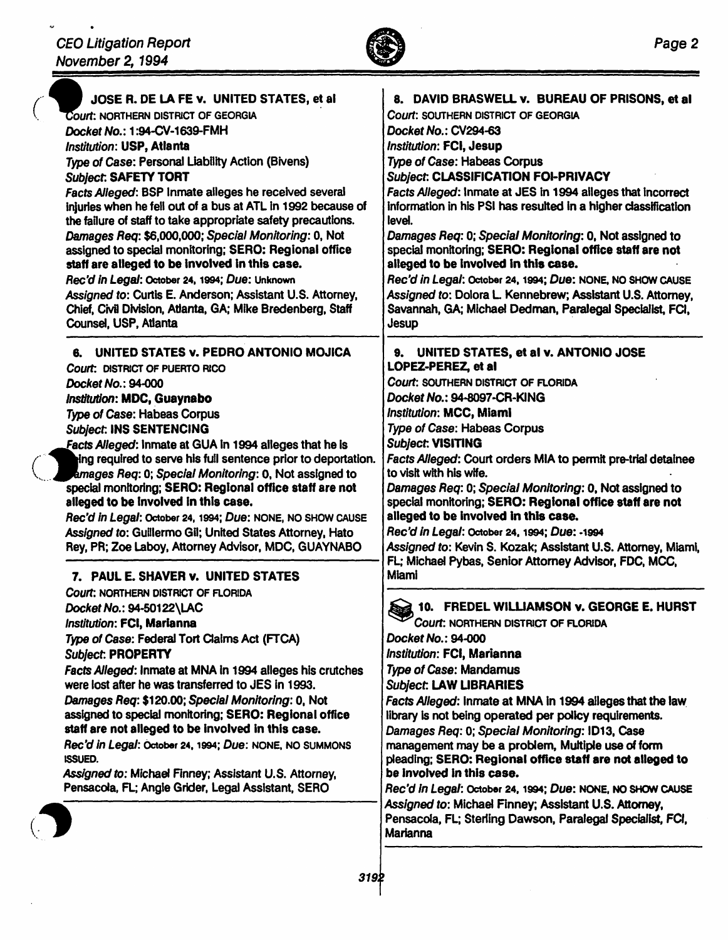

| 8. DAVID BRASWELL v. BUREAU OF PRISONS, et al.<br>Court: SOUTHERN DISTRICT OF GEORGIA<br>Docket No.: CV294-63<br>Institution: FCI, Jesup<br><b>Type of Case: Habeas Corpus</b><br>Subject: CLASSIFICATION FOI-PRIVACY<br>Facts Alleged: Inmate at JES in 1994 alleges that incorrect<br>information in his PSI has resulted in a higher classification<br>level.<br>Damages Req: 0; Special Monitoring: 0, Not assigned to<br>special monitoring; SERO: Regional office staff are not<br>alleged to be involved in this case.<br>Rec'd in Legal: October 24, 1994; Due: NONE, NO SHOW CAUSE<br>Assigned to: Dolora L. Kennebrew; Assistant U.S. Attorney,<br>Savannah, GA; Michael Dedman, Paralegal Specialist, FCI,<br><b>Jesup</b>                                               |
|-------------------------------------------------------------------------------------------------------------------------------------------------------------------------------------------------------------------------------------------------------------------------------------------------------------------------------------------------------------------------------------------------------------------------------------------------------------------------------------------------------------------------------------------------------------------------------------------------------------------------------------------------------------------------------------------------------------------------------------------------------------------------------------|
|                                                                                                                                                                                                                                                                                                                                                                                                                                                                                                                                                                                                                                                                                                                                                                                     |
| 9. UNITED STATES, et al v. ANTONIO JOSE<br>LOPEZ-PEREZ, et al<br>Court: SOUTHERN DISTRICT OF FLORIDA<br>Docket No.: 94-8097-CR-KING<br>Institution: MCC, Miami<br>Type of Case: Habeas Corpus<br><b>Subject: VISITING</b><br>Facts Alleged: Court orders MIA to permit pre-trial detainee<br>to visit with his wife.<br>Damages Req: 0; Special Monitoring: 0, Not assigned to<br>special monitoring; SERO: Regional office staff are not<br>alleged to be involved in this case.<br>Rec'd in Legal: October 24, 1994; Due: -1994<br>Assigned to: Kevin S. Kozak; Assistant U.S. Attorney, Miami,                                                                                                                                                                                   |
| FL; Michael Pybas, Senior Attorney Advisor, FDC, MCC,<br>Miami<br>10. FREDEL WILLIAMSON v. GEORGE E. HURST<br>Court: NORTHERN DISTRICT OF FLORIDA<br>Docket No.: 94-000<br>Institution: FCI, Marianna<br><b>Type of Case: Mandamus</b><br><b>Subject: LAW LIBRARIES</b><br>Facts Alleged: Inmate at MNA in 1994 alleges that the law<br>library is not being operated per policy requirements.<br>Damages Req: 0; Special Monitoring: ID13, Case<br>management may be a problem, Multiple use of form<br>pleading; SERO: Regional office staff are not alleged to<br>be involved in this case.<br>Rec'd in Legal: October 24, 1994; Due: NONE, NO SHOW CAUSE<br>Assigned to: Michael Finney; Assistant U.S. Attorney,<br>Pensacola, FL; Sterling Dawson, Paralegal Specialist, FCI, |
| Marianna                                                                                                                                                                                                                                                                                                                                                                                                                                                                                                                                                                                                                                                                                                                                                                            |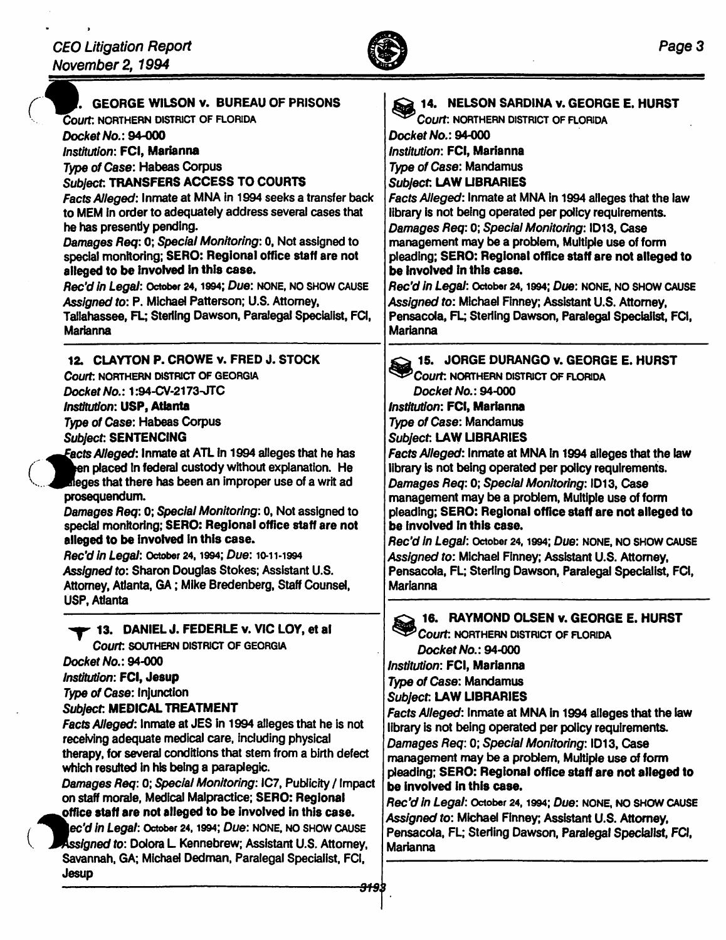(



| Court: NORTHERN DISTRICT OF FLORIDA<br>Docket No.: 94-000<br>Institution: FCI, Marianna<br>Type of Case: Habeas Corpus<br><b>Subject: TRANSFERS ACCESS TO COURTS</b><br>Facts Alleged: Inmate at MNA in 1994 seeks a transfer back<br>to MEM in order to adequately address several cases that<br>he has presently pending.<br>Damages Req: 0; Special Monitoring: 0, Not assigned to<br>special monitoring; SERO: Regional office staff are not<br>alleged to be involved in this case.<br>Rec'd in Legal: October 24, 1994; Due: NONE, NO SHOW CAUSE<br>Assigned to: P. Michael Patterson; U.S. Attorney,<br>Tailahassee, FL; Sterling Dawson, Paralegal Specialist, FCI,<br><b>Marianna</b>                                                                        | Court: NORTHERN DISTRICT OF FLORIDA<br>Docket No.: 94-000<br>Institution: FCI, Marianna<br><b>Type of Case: Mandamus</b><br><b>Subject: LAW LIBRARIES</b><br>Facts Alleged: Inmate at MNA in 1994 alleges that the law<br>library is not being operated per policy requirements.<br>Damages Reg: 0; Special Monitoring: ID13, Case<br>management may be a problem, Multiple use of form<br>pleading; SERO: Regional office staff are not alleged to<br>be involved in this case.<br>Rec'd in Legal: October 24, 1994; Due: NONE, NO SHOW CAUSE<br>Assigned to: Michael Finney; Assistant U.S. Attorney.<br>Pensacola, FL; Sterling Dawson, Paralegal Specialist, FCI,<br>Marianna                                                |
|-----------------------------------------------------------------------------------------------------------------------------------------------------------------------------------------------------------------------------------------------------------------------------------------------------------------------------------------------------------------------------------------------------------------------------------------------------------------------------------------------------------------------------------------------------------------------------------------------------------------------------------------------------------------------------------------------------------------------------------------------------------------------|----------------------------------------------------------------------------------------------------------------------------------------------------------------------------------------------------------------------------------------------------------------------------------------------------------------------------------------------------------------------------------------------------------------------------------------------------------------------------------------------------------------------------------------------------------------------------------------------------------------------------------------------------------------------------------------------------------------------------------|
| 12. CLAYTON P. CROWE v. FRED J. STOCK<br>Court: NORTHERN DISTRICT OF GEORGIA<br>Docket No.: 1:94-CV-2173-JTC<br>Institution: USP, Atlanta<br><b>Type of Case: Habeas Corpus</b><br><b>Subject: SENTENCING</b><br>Facts Alleged: Inmate at ATL in 1994 alleges that he has<br>en placed in federal custody without explanation. He<br>deges that there has been an improper use of a writ ad<br>prosequendum.<br>Damages Req: 0; Special Monitoring: 0, Not assigned to<br>special monitoring; SERO: Regional office staff are not<br>alleged to be involved in this case.<br>Rec'd in Legal: October 24, 1994; Due: 10-11-1994<br>Assigned to: Sharon Douglas Stokes; Assistant U.S.<br>Attorney, Atlanta, GA; Mike Bredenberg, Staff Counsel,<br><b>USP, Atlanta</b> | 15. JORGE DURANGO v. GEORGE E. HURST<br>Court: NORTHERN DISTRICT OF FLORIDA<br>Docket No.: 94-000<br>Institution: FCI, Marianna<br><b>Type of Case: Mandamus</b><br><b>Subject: LAW LIBRARIES</b><br>Facts Alleged: Inmate at MNA in 1994 alleges that the law<br>library is not being operated per policy requirements.<br>Damages Req: 0; Special Monitoring: ID13, Case<br>management may be a problem, Multiple use of form<br>pleading; SERO: Regional office staff are not alleged to<br>be involved in this case.<br>Rec'd in Legal: October 24, 1994; Due: NONE, NO SHOW CAUSE<br>Assigned to: Michael Finney; Assistant U.S. Attorney,<br>Pensacola, FL; Sterling Dawson, Paralegal Specialist, FCI,<br><b>Marianna</b> |
| 13. DANIEL J. FEDERLE v. VIC LOY, et al.<br>Court: SOUTHERN DISTRICT OF GEORGIA<br>Docket No.: 94-000<br>Institution: FCI, Jesup<br>Type of Case: Injunction<br><b>Subject: MEDICAL TREATMENT</b><br>Facts Alleged: Inmate at JES in 1994 alleges that he is not<br>receiving adequate medical care, including physical                                                                                                                                                                                                                                                                                                                                                                                                                                               | 16. RAYMOND OLSEN v. GEORGE E. HURST<br>Court: NORTHERN DISTRICT OF FLORIDA<br>Docket No.: 94-000<br>Institution: FCI, Marianna<br><b>Type of Case: Mandamus</b><br><b>Subject: LAW LIBRARIES</b><br>Facts Alleged: Inmate at MNA in 1994 alleges that the law<br>library is not being operated per policy requirements.<br>Damages Req: 0; Special Monitoring: ID13, Case                                                                                                                                                                                                                                                                                                                                                       |

receiving adequate medical care, including physical therapy, for several conditions that stem from a birth defect which resutted in his being a paraplegic. management may be a problem, Multiple use of form pleading; SERO: Regional office staff are not alleged to

Damages Req: 0; Special Monitoring: IC7, Publicity / Impact on staff morale, Medical Malpractice; SERO: Regional office staff are not alleged to be involved in this case.

ec'd in Legal: October 24, 1994; Due: NONE, NO SHOW CAUSE Assigned to: Dolora L. Kennebrew; Assistant U.S. Attorney. Savannah, GA; Michael Dedman, Paralegal Specialist, FCI, Jesup

<del>319</del>3

**Marianna** 

be Involved In this case.

Rec'd In Legal: October 24, 1994; Due: NONE, NO SHOW CAUSE Assigned to: Michael Finney; Assistant U.S. Attorney, Pensacola, FL; Sterling Dawson, Paralegal Specialist, FCI,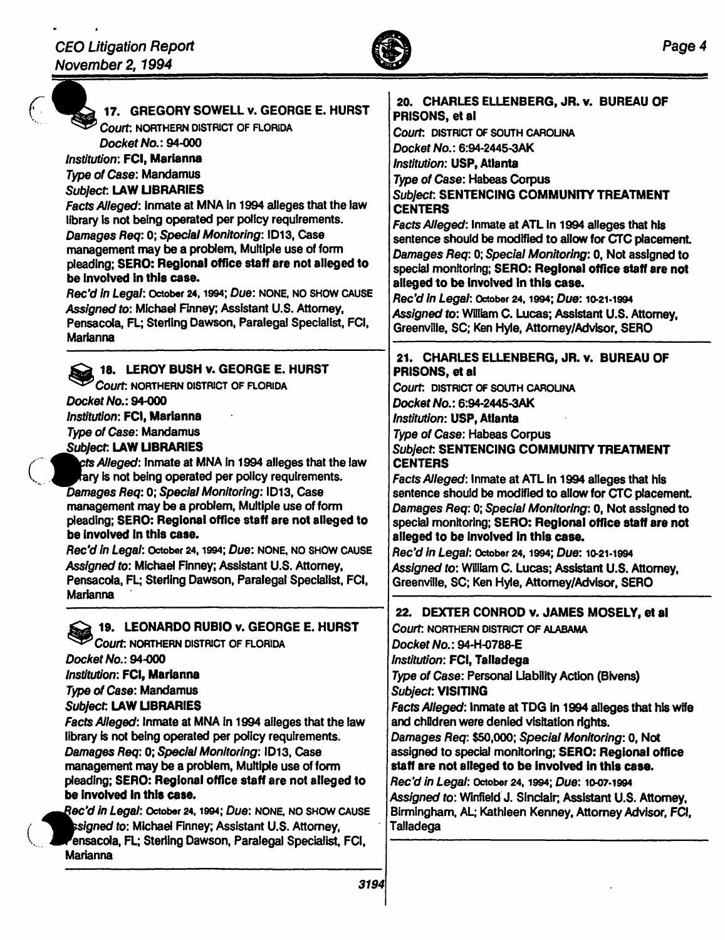$\cdot$ 

 $\bullet$ 



| 17. GREGORY SOWELL v. GEORGE E. HURST                                                                              | 20. CHARLES ELLENBERG, JR. v. BUREAU OF<br>PRISONS, et al.                                      |
|--------------------------------------------------------------------------------------------------------------------|-------------------------------------------------------------------------------------------------|
| Court: NORTHERN DISTRICT OF FLORIDA                                                                                | Court: DISTRICT OF SOUTH CAROLINA                                                               |
| Docket No.: 94-000                                                                                                 | Docket No.: 6:94-2445-3AK                                                                       |
| <b>Institution: FCI, Marianna</b>                                                                                  | Institution: USP, Atlanta                                                                       |
| <b>Type of Case: Mandamus</b>                                                                                      | <b>Type of Case: Habeas Corpus</b>                                                              |
| <b>Subject: LAW LIBRARIES</b>                                                                                      | Subject: SENTENCING COMMUNITY TREATMENT                                                         |
| Facts Alleged: Inmate at MNA in 1994 alleges that the law                                                          | <b>CENTERS</b>                                                                                  |
| library is not being operated per policy requirements.                                                             | Facts Alleged: Inmate at ATL in 1994 alleges that his                                           |
| Damages Reg: 0; Special Monitoring: ID13, Case                                                                     | sentence should be modified to allow for CTC placement.                                         |
| management may be a problem, Multiple use of form                                                                  | Damages Req: 0; Special Monitoring: 0, Not assigned to                                          |
| pleading; SERO: Regional office staff are not alleged to<br>be involved in this case.                              | special monitoring; SERO: Regional office staff are not                                         |
| Rec'd in Legal: October 24, 1994; Due: NONE, NO SHOW CAUSE                                                         | alleged to be involved in this case.                                                            |
| Assigned to: Michael Finney; Assistant U.S. Attorney,                                                              | Rec'd in Legal: October 24, 1994; Due: 10-21-1994                                               |
| Pensacola, FL; Sterling Dawson, Paralegal Specialist, FCI,                                                         | Assigned to: William C. Lucas; Assistant U.S. Attorney.                                         |
| <b>Marianna</b>                                                                                                    | Greenville, SC; Ken Hyle, Attorney/Advisor, SERO                                                |
|                                                                                                                    |                                                                                                 |
| 18. LEROY BUSH v. GEORGE E. HURST                                                                                  | 21. CHARLES ELLENBERG, JR. v. BUREAU OF<br>PRISONS, et al.                                      |
| Court: NORTHERN DISTRICT OF FLORIDA                                                                                | Court: DISTRICT OF SOUTH CAROLINA                                                               |
| Docket No.: 94-000                                                                                                 | Docket No.: 6:94-2445-3AK                                                                       |
| Institution: FCI, Marianna                                                                                         | <b>Institution: USP, Atlanta</b>                                                                |
| <b>Type of Case: Mandamus</b>                                                                                      |                                                                                                 |
| <b>Subject: LAW LIBRARIES</b>                                                                                      | Type of Case: Habeas Corpus<br>Subject: SENTENCING COMMUNITY TREATMENT                          |
| cts Alleged: Inmate at MNA in 1994 alleges that the law                                                            | <b>CENTERS</b>                                                                                  |
| tary is not being operated per policy requirements.                                                                | Facts Alleged: Inmate at ATL in 1994 alleges that his                                           |
| Damages Req: 0; Special Monitoring: ID13, Case                                                                     | sentence should be modified to allow for CTC placement.                                         |
| management may be a problem, Multiple use of form                                                                  | Damages Req: 0; Special Monitoring: 0, Not assigned to                                          |
| pleading; SERO: Regional office staff are not alleged to                                                           |                                                                                                 |
|                                                                                                                    |                                                                                                 |
| be involved in this case.                                                                                          | special monitoring; SERO: Regional office staff are not<br>alleged to be involved in this case. |
| Rec'd in Legal: October 24, 1994; Due: NONE, NO SHOW CAUSE                                                         | Rec'd in Legal: October 24, 1994; Due: 10-21-1994                                               |
| Assigned to: Michael Finney; Assistant U.S. Attorney,                                                              | Assigned to: William C. Lucas; Assistant U.S. Attorney,                                         |
| Pensacola, FL; Sterling Dawson, Paralegal Specialist, FCI,                                                         | Greenville, SC; Ken Hyle, Attorney/Advisor, SERO                                                |
| <b>Marianna</b>                                                                                                    |                                                                                                 |
|                                                                                                                    | DEXTER CONROD v. JAMES MOSELY, et al<br>22.                                                     |
| 19. LEONARDO RUBIO v. GEORGE E. HURST                                                                              | Court: NORTHERN DISTRICT OF ALABAMA                                                             |
| Court: NORTHERN DISTRICT OF FLORIDA                                                                                | Docket No.: 94-H-0788-E                                                                         |
| Docket No.: 94-000                                                                                                 | Institution: FCI, Talladega                                                                     |
| Institution: FCI, Marianna                                                                                         | Type of Case: Personal Liability Action (Bivens)                                                |
| <b>Type of Case: Mandamus</b>                                                                                      | <b>Subject: VISITING</b>                                                                        |
| <b>Subject: LAW LIBRARIES</b>                                                                                      | Facts Alleged: Inmate at TDG in 1994 alleges that his wife                                      |
| Facts Alleged: Inmate at MNA in 1994 alleges that the law                                                          | and children were denied visitation rights.                                                     |
| library is not being operated per policy requirements.                                                             | Damages Req: \$50,000; Special Monitoring: 0, Not                                               |
| Damages Req: 0; Special Monitoring: ID13, Case                                                                     | assigned to special monitoring; SERO: Regional office                                           |
| management may be a problem, Multiple use of form                                                                  | staff are not alleged to be involved in this case.                                              |
| pleading; SERO: Regional office staff are not alleged to                                                           | Rec'd in Legal: October 24, 1994; Due: 10-07-1994                                               |
| be involved in this case.                                                                                          | Assigned to: Winfield J. Sinclair; Assistant U.S. Attorney,                                     |
| Rec'd in Legal: October 24, 1994; Due: NONE, NO SHOW CAUSE                                                         | Birmingham, AL; Kathleen Kenney, Attorney Advisor, FCI,                                         |
| ssigned to: Michael Finney; Assistant U.S. Attorney,<br>Tensacola, FL; Sterling Dawson, Paralegal Specialist, FCI, | Talladega                                                                                       |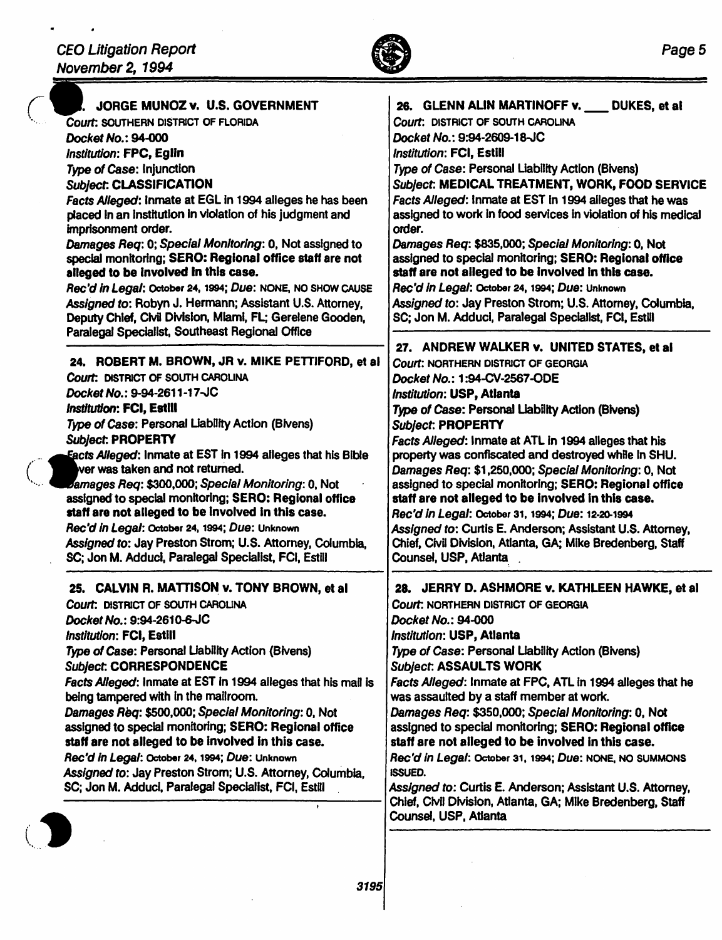

|  | JORGE MUNOZ v. U.S. GOVERNMENT                                                                               | 26. GLENN ALIN MARTINOFF v. ___ DUKES, et al                  |
|--|--------------------------------------------------------------------------------------------------------------|---------------------------------------------------------------|
|  | Court: SOUTHERN DISTRICT OF FLORIDA                                                                          | Court: DISTRICT OF SOUTH CAROLINA                             |
|  | Docket No.: 94-000                                                                                           | Docket No.: 9:94-2609-18-JC                                   |
|  | <b>Institution: FPC, Eglin</b>                                                                               | <b>Institution: FCI, Estill</b>                               |
|  | Type of Case: Injunction                                                                                     | Type of Case: Personal Liability Action (Bivens)              |
|  | <b>Subject: CLASSIFICATION</b>                                                                               | Subject: MEDICAL TREATMENT, WORK, FOOD SERVICE                |
|  | Facts Alleged: Inmate at EGL in 1994 alleges he has been                                                     | Facts Alleged: Inmate at EST in 1994 alleges that he was      |
|  | placed in an institution in violation of his judgment and                                                    | assigned to work in food services in violation of his medical |
|  | imprisonment order.                                                                                          | order.                                                        |
|  | Damages Reg: 0; Special Monitoring: 0, Not assigned to                                                       | Damages Req: \$835,000; Special Monitoring: 0, Not            |
|  | special monitoring; SERO: Regional office staff are not                                                      | assigned to special monitoring; SERO: Regional office         |
|  | alleged to be involved in this case.                                                                         | staff are not alleged to be involved in this case.            |
|  | Rec'd in Legal: October 24, 1994; Due: NONE, NO SHOW CAUSE                                                   | Rec'd in Legal: October 24, 1994; Due: Unknown                |
|  | Assigned to: Robyn J. Hermann; Assistant U.S. Attorney,                                                      | Assigned to: Jay Preston Strom; U.S. Attorney, Columbia,      |
|  | Deputy Chief, Civil Division, Miami, FL; Gerelene Gooden,<br>Paralegal Specialist, Southeast Regional Office | SC; Jon M. Adduci, Paralegal Specialist, FCI, Estill          |
|  |                                                                                                              | 27. ANDREW WALKER v. UNITED STATES, et al.                    |
|  | 24. ROBERT M. BROWN, JR v. MIKE PETTIFORD, et al.                                                            | Court: NORTHERN DISTRICT OF GEORGIA                           |
|  | Court: DISTRICT OF SOUTH CAROLINA                                                                            | Docket No.: 1:94-CV-2567-ODE                                  |
|  | Docket No.: 9-94-2611-17-JC                                                                                  | Institution: USP, Atlanta                                     |
|  | Institution: FCI, Estill                                                                                     | <b>Type of Case: Personal Liability Action (Bivens)</b>       |
|  | Type of Case: Personal Liability Action (Bivens)                                                             | <b>Subject: PROPERTY</b>                                      |
|  | <b>Subject: PROPERTY</b>                                                                                     | Facts Alleged: Inmate at ATL in 1994 alleges that his         |
|  | Facts Alleged: Inmate at EST in 1994 alleges that his Bible                                                  | property was confiscated and destroyed while in SHU.          |
|  | ver was taken and not returned.                                                                              | Damages Req: \$1,250,000; Special Monitoring: 0, Not          |
|  | Jamages Req: \$300,000; Special Monitoring: 0, Not                                                           | assigned to special monitoring; SERO: Regional office         |
|  | assigned to special monitoring; SERO: Regional office                                                        | staff are not alleged to be involved in this case.            |
|  | staff are not alleged to be involved in this case.                                                           | Rec'd in Legal: October 31, 1994; Due: 12-20-1994             |
|  | Rec'd in Legal: October 24, 1994; Due: Unknown                                                               | Assigned to: Curtis E. Anderson; Assistant U.S. Attorney,     |
|  | Assigned to: Jay Preston Strom; U.S. Attorney, Columbia,                                                     | Chief, Civil Division, Atlanta, GA; Mike Bredenberg, Staff    |
|  | SC; Jon M. Adduci, Paralegal Specialist, FCI, Estill                                                         | Counsel, USP, Atlanta                                         |
|  |                                                                                                              |                                                               |
|  | 25. CALVIN R. MATTISON v. TONY BROWN, et al.                                                                 | 28. JERRY D. ASHMORE v. KATHLEEN HAWKE, et al.                |
|  | Court: DISTRICT OF SOUTH CAROLINA                                                                            | Court: NORTHERN DISTRICT OF GEORGIA                           |
|  | Docket No.: 9:94-2610-6-JC                                                                                   | Docket No.: 94-000                                            |
|  | <b>Institution: FCI, Estill</b>                                                                              | Institution: USP, Atlanta                                     |
|  | Type of Case: Personal Liability Action (Bivens)                                                             | Type of Case: Personal Liability Action (Bivens)              |
|  | <b>Subject: CORRESPONDENCE</b>                                                                               | <b>Subject: ASSAULTS WORK</b>                                 |
|  | Facts Alleged: Inmate at EST in 1994 alleges that his mail is                                                | Facts Alleged: Inmate at FPC, ATL in 1994 alleges that he     |
|  | being tampered with in the mailroom.                                                                         | was assaulted by a staff member at work.                      |
|  | Damages Req: \$500,000; Special Monitoring: 0, Not                                                           | Damages Req: \$350,000; Special Monitoring: 0, Not            |
|  | assigned to special monitoring; SERO: Regional office                                                        | assigned to special monitoring; SERO: Regional office         |
|  | staff are not alleged to be involved in this case.                                                           | staff are not alleged to be involved in this case.            |
|  | Rec'd in Legal: October 24, 1994; Due: Unknown                                                               | Rec'd in Legal: October 31, 1994; Due: NONE, NO SUMMONS       |
|  | Assigned to: Jay Preston Strom; U.S. Attorney, Columbia,                                                     | <b>ISSUED.</b>                                                |
|  | SC; Jon M. Adducl, Paralegal Specialist, FCI, Estill                                                         | Assigned to: Curtis E. Anderson; Assistant U.S. Attorney,     |
|  |                                                                                                              | Chief, Civil Division, Atlanta, GA; Mike Bredenberg, Staff    |
|  |                                                                                                              | Counsel, USP, Atlanta                                         |
|  |                                                                                                              |                                                               |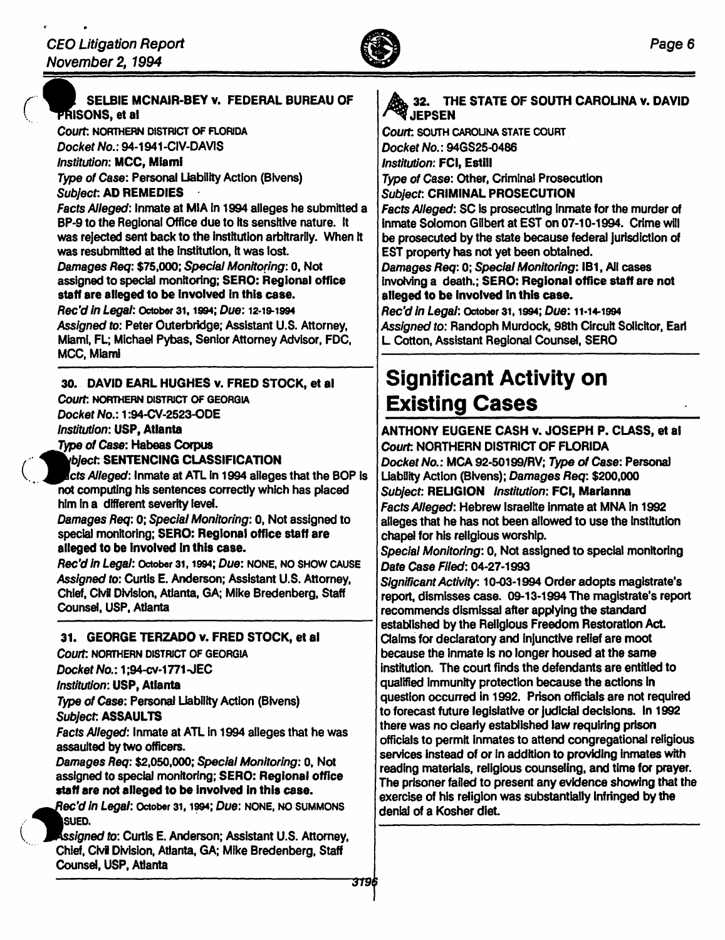

## SELBIE MCNAIR-BEY v. FEDERAL BUREAU OF PRISONS, et al.

Court. NORTHERN DISTRICT OF flORIDA Docket No.: 94-1941-CIV-OAVIS Institution: MCC, Miami Type of Case: Personal liability Action (Bivens)

### Subject: AD REMEDIES

Facts Alleged: Inmate at MIA In 1994 alleges he submitted a BP-9 to the Regional Office due to its sensitive nature. It was rejected sent back to the institution arbitrarily. When it was resubmitted at the institution, it was lost.

Damages Req: \$75.000; Special Monitoring: 0, Not assigned to special monitoring; SERO: Regional office staff are alleged to be involved in this case.

### Rec'd In Legal: October 31. 1994; Due: 12·19-1994

Assigned to: Peter Outerbridge; Assistant U.S. Attorney. Miami. FL; Michael Pybas, Senior Attorney Advisor. FOC. MCC. Miami

## 30. DAVID EARL HUGHES v. FRED STOCK, et al Court: NORTHERN DISTRICT OF GEORGIA

Docket No.: 1 :94-CV-2523-ODE

Institution: USP, Atlanta

(

Type of Case: Habeas Corpus

*ibject***: SENTENCING CLASSIFICATION** 

cts Alleged: Inmate at ATL in 1994 alleges that the BOP is not computing his sentences correctly which has placed him In a different severity level.

Damages Req: 0; Special Monitoring: 0. Not assigned to special monitoring; SERO: Regional office staff are alleged to be Involved In this case.

Rec'd In Legal: October 31.1994; Due: NONE. NO SHOW CAUSE Assigned to: Curtis E. Anderson; Assistant U.S. Attorney. Chief. Civil Division. Atlanta. GA: Mike Bredenberg. Staff Counsel, USP, Atlanta

## 31. GEORGE TERZADO v. FRED STOCK, et al

Court: NORTHERN DISTRICT OF GEORGIA

Docket No.: 1:94-cv-1771-JEC

Institution: USP, Atlanta

Type of Case: Personal Uability Action (Bivens) Subject: ASSAULTS

Facts Alleged: Inmate at ATL in 1994 alleges that he was assaulted by two officers.

Damages Req: \$2,050,000; Special Monitoring: 0, Not assigned to special monitoring; SERO: Regional office staff are not alleged to be involved in this case.

Rec'd in Legal: October 31, 1994; Due: NONE, NO SUMMONS .. SUED.

\., Igned *to:* Curtis E. Anderson; Assistant U.S. Attorney. Chief, Civil Division, Atlanta, GA; Mike Bredenberg, Staff Counsel, USP, Atlanta

## 32. THE STATE OF SOUTH CAROLINA v. DAVID ~JEPSEN

Court: SOUTH CAROUNA STATE COURT. Docket No.: 94GS25-0486 Institution: FCI, Estill Type of Case: Other, Criminal Prosecution Subject: CRIMINAL PROSECUTION

Facts Alleged: SC is prosecuting inmate for the murder of Inmate Solomon Gilbert at EST on 07-10-1994. Crime will be prosecuted by the state because federal Jurisdiction of EST property has not yet been obtained.

Damages Req: 0; Special Monitoring: IB1, All cases Involving a death.; SERO: Regional office staff are not alleged to be Involved In this case.

Rec'd In Legal: October 31. 1994; Due: *11·14-1994*  Assigned to: Randoph Murdock, 98th Circuit Solicitor. Eart L Cotton. Assistant Regional Counsel, SERO

# Significant Activity on Existing Cases

## ANTHONY EUGENE CASH v. JOSEPH P. CLASS, et al Court: NORTHERN DISTRICT OF FLORIDA

Docket No.: MCA 92-50199/RV; Type *of* Case: Personal Liability Action (Bivens); Damages Req: \$200,000 Subject: RELIGION Institution: FCI, Marianna Facts Alleged: Hebrew Israelite inmate at MNA in 1992 alleges that he has not been allowed to use the Institution chapel for his religious worship.

Special Monitoring: 0, Not assigned to special monitoring Date Case Filed: 04-27-1993

Significant Activity: 10-03-1994 Order adopts magistrate's report. dismisses case. 09-13-1994 The magistrate's report recommends dismissal after applying the standard established by the Religious Freedom Restoration Act. Claims for declaratory and injunctive relief are moot because the Inmate Is no longer housed at the same institution. The court finds the defendants are entitled to qualified Immunity protection because the actions In question occurred in 1992. Prison officials are not required to forecast future legislative or judicial decisions. In 1992 there was no clearly established law requiring prison officials to permit Inmates to attend congregational religious services instead of or in addition to providing inmates with reading materials. religious counseling. and time for prayer. The prisoner failed to present any evidence showing that the exercise of his religion was substantially Infringed by the denial of a Kosher diet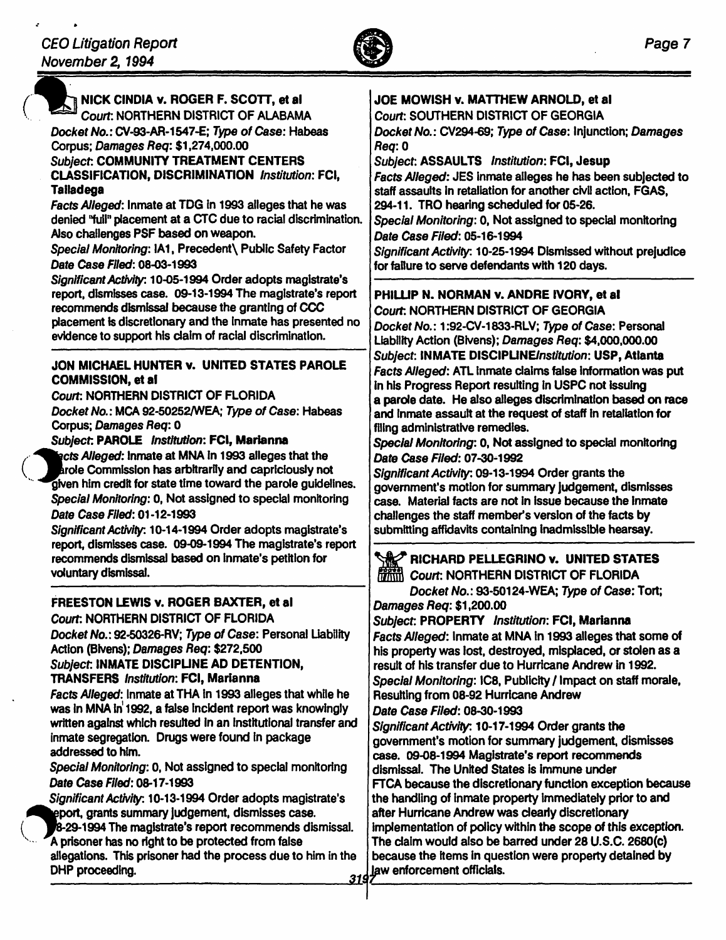

# NICK CINDIA v. ROGER F. SCOTT, et al.

Court: NORTHERN DISTRICT OF ALABAMA Docket No.: CV-93-AR-1547-E: Type of Case: Habeas Corpus; Damages Req: \$1.274.000.00 Subject. COMMUNITY TREATMENT CENTERS CLASSIFICATION, DISCRIMINATION Institution: FCI,

## **Talladega**

 $\binom{n}{k}$ 

Facts Alleged: Inmate at TOG in 1993 alleges that he was denied "full'· placement at a CTC due to racial discrimination. Also challenges PSF based on weapon.

Special Monitoring: IA1, Precedent\ Public Safety Factor Date Case Filed: 08-03-1993

Significant Activity: 10-05-1994 Order adopts magistrate's report, dismisses case. 09-13-1994 The magistrate's report recommends dismissal because the granting of CCC placement Is discretionary and the Inmate has presented no evidence to support his claim of racial discrimination.

 $\frac{1}{2}$  cts Alleged: Inmate at MNA in 1993 alleges that the  $\frac{1}{2}$  Date Case Filed: 07-30-1992 arole Commission has arbitrarily and capriciously not Significant Activity: 09-13-1994 Order grants the given him credit for state time toward the parole guidelines. Special Monitoring: 0, Not assigned to special monitoring  $\log_{10}$  Case. Material facts are not in issue because the inmate Date Case Filed: 01-12-1993 challenges the staff member's version of the facts by

Significant Activity: 10-14-1994 Order adopts magistrate's submitting affidavits containing inadmissible hearsay. report. dismisses case. 09-09-1994 The magistrate's report recommends dismissal based on inmate's petition for voluntary dismissal.

## FREESTON LEWIS v. ROGER BAXTER, et al  $\vert$  Damages Req: \$1,200.00

Court: NORTHERN DISTRICT OF FLORIDA Subject: PROPERTY Institution: FCI, Marianna Subject: INMATE DISCIPLINE AD DETENTION, result of his transfer due to Hurricane Andrew in 1992.

Facts Alleged: Inmate at THA in 1993 alleges that while he [Resulting from 08-92 Hurricane Andrew was in MNA in 1992, a false incident report was knowingly  $\Box$  Date Case Filed: 08-30-1993 written against which resulted in an institutional transfer and  $\frac{1}{2}$  Significant Activity: 10-17-1994 Order grants the inmate segregation. Drugs were found in package government's motion for summary judgement, dismisses addressed to him.

Special Monitoring: 0, Not assigned to special monitoring | dismissal. The United States is immune under

~Port. grants summary Judgement, dismisses case. after Hurricane Andrew was clearty discretionary

A prisoner has no right to be protected from false The claim would also be barred under 28 U.S.C. 2680(c) allegations. This prisoner had the process due to him in the because the items in question were property detained by DHP proceeding. The contract of the contract of the contract of the contract of the contract of the contract of the contract of the contract of the contract of the contract of the contract of the contract of the contract o

## JOE MOWISH v. MATTHEW ARNOLD, et al

Court: SOUTHERN DISTRICT OF GEORGIA Docket No.: CV294-69; Type of Case: Injunction; Damages Req:O

Subject: ASSAULTS Institution: FCI, Jesup Facts Alleged: JES inmate alleges he has been subjected to staff assaults in retaliation for another civil action. FGAS. 294-11. TRO hearing scheduled for 05-26.

Special Monitoring: 0, Not assigned to special monitoring Date Case Filed: 05-16-1994

Significant Activity: 10-25-1994 Dismissed without prejudice for fallure to serve defendants with 120 days.

# PHILLIP N. NORMAN v. ANDRE IVORY, et al.

Court. NORTHERN DISTRICT OF GEORGIA Docket No.: 1:92-CV-1833-RLV; Type of Case: Personal liability Action (Bivens); Damages Req: \$4.000.000.00 ------------------ Subject: INMATE DISCIPUNEInstltut/on: USP, Atlanta JON MICHAEL HUNTER V. UNITED STATES PAROLE Facts Alleged: ATL inmate claims false information was put<br>COMMISSION, et al COMMISSION, et al in his Progress Report resulting in USPC not issuing<br>Court: NORTHERN DISTRICT OF FLORIDA Court: NORTHERN DISTRICT OF FLORIDA (a parole date. He also alleges discrimination based on race<br>Docket No.: MCA 92-50252/WEA; Type of Case: Habeas and Inmate assault at the request of staff in retaliation for Docket No.: MCA 92-50252/WEA; Type of Case: Habeas and Inmate assault at the request of staff in retaliation for Corpus; Damages Req: 0 filing administrative remedies.

Subject: PAROLE Institution: FCI, Marianna Special Monitoring: 0, Not assigned to special monitoring

government's motion for summary judgement, dismisses

## **WAZ RICHARD PELLEGRINO v. UNITED STATES**

**FIRTH** Court: NORTHERN DISTRICT OF FLORIDA

Docket No.: 93-50124-WEA; Type of Case: Tort;

Docket No.: 92-50326-RV; Type of Case: Personal Liability | Facts Alleged: Inmate at MNA in 1993 alleges that some of Action (Bivens); Damages Req: \$272,500 his property was lost, destroyed, misplaced, or stolen as a TRANSFERS Institution: FCI, Marianna Special Monitoring: IC8, Publicity / Impact on staff morale,

case. 09-08-1994 Magistrate's report recommends Date Case Filed: 08-17-1993 **FICA** because the discretionary function exception because Significant Activity: 10-13-1994 Order adopts magistrate's | the handling of inmate property immediately prior to and  $\beta$ -29-1994 The magistrate's report recommends dismissal. | implementation of policy within the scope of this exception.